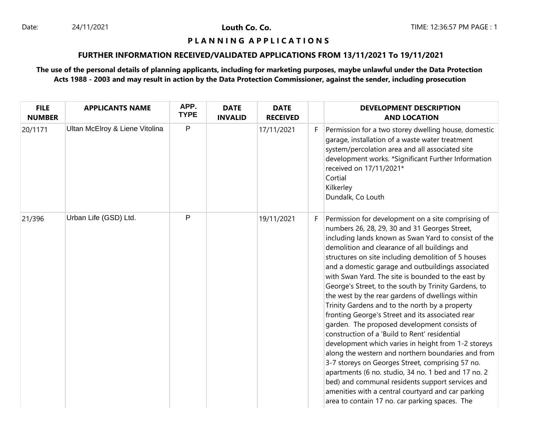#### **P L A N N I N G A P P L I C A T I O N S**

## **FURTHER INFORMATION RECEIVED/VALIDATED APPLICATIONS FROM 13/11/2021 To 19/11/2021**

| <b>FILE</b><br><b>NUMBER</b> | <b>APPLICANTS NAME</b>         | APP.<br><b>TYPE</b> | <b>DATE</b><br><b>INVALID</b> | <b>DATE</b><br><b>RECEIVED</b> |    | <b>DEVELOPMENT DESCRIPTION</b><br><b>AND LOCATION</b>                                                                                                                                                                                                                                                                                                                                                                                                                                                                                                                                                                                                                                                                                                                                                                                                                                                                                                                                                                                                                                 |
|------------------------------|--------------------------------|---------------------|-------------------------------|--------------------------------|----|---------------------------------------------------------------------------------------------------------------------------------------------------------------------------------------------------------------------------------------------------------------------------------------------------------------------------------------------------------------------------------------------------------------------------------------------------------------------------------------------------------------------------------------------------------------------------------------------------------------------------------------------------------------------------------------------------------------------------------------------------------------------------------------------------------------------------------------------------------------------------------------------------------------------------------------------------------------------------------------------------------------------------------------------------------------------------------------|
| 20/1171                      | Ultan McElroy & Liene Vitolina | P                   |                               | 17/11/2021                     | F. | Permission for a two storey dwelling house, domestic<br>garage, installation of a waste water treatment<br>system/percolation area and all associated site<br>development works. *Significant Further Information<br>received on 17/11/2021*<br>Cortial<br>Kilkerley<br>Dundalk, Co Louth                                                                                                                                                                                                                                                                                                                                                                                                                                                                                                                                                                                                                                                                                                                                                                                             |
| 21/396                       | Urban Life (GSD) Ltd.          | P                   |                               | 19/11/2021                     | F. | Permission for development on a site comprising of<br>numbers 26, 28, 29, 30 and 31 Georges Street,<br>including lands known as Swan Yard to consist of the<br>demolition and clearance of all buildings and<br>structures on site including demolition of 5 houses<br>and a domestic garage and outbuildings associated<br>with Swan Yard. The site is bounded to the east by<br>George's Street, to the south by Trinity Gardens, to<br>the west by the rear gardens of dwellings within<br>Trinity Gardens and to the north by a property<br>fronting George's Street and its associated rear<br>garden. The proposed development consists of<br>construction of a 'Build to Rent' residential<br>development which varies in height from 1-2 storeys<br>along the western and northern boundaries and from<br>3-7 storeys on Georges Street, comprising 57 no.<br>apartments (6 no. studio, 34 no. 1 bed and 17 no. 2<br>bed) and communal residents support services and<br>amenities with a central courtyard and car parking<br>area to contain 17 no. car parking spaces. The |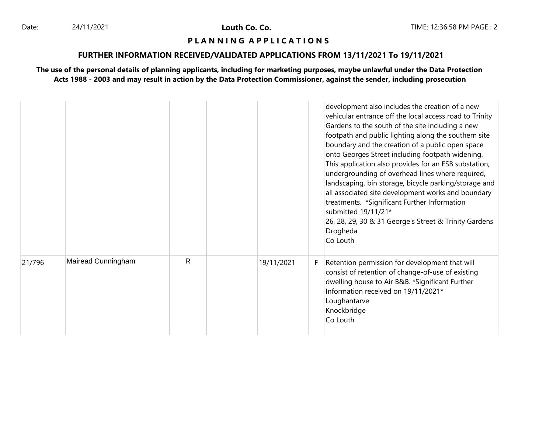#### **P L A N N I N G A P P L I C A T I O N S**

## **FURTHER INFORMATION RECEIVED/VALIDATED APPLICATIONS FROM 13/11/2021 To 19/11/2021**

|        |                    |    |            |    | development also includes the creation of a new<br>vehicular entrance off the local access road to Trinity<br>Gardens to the south of the site including a new<br>footpath and public lighting along the southern site<br>boundary and the creation of a public open space<br>onto Georges Street including footpath widening.<br>This application also provides for an ESB substation,<br>undergrounding of overhead lines where required,<br>landscaping, bin storage, bicycle parking/storage and<br>all associated site development works and boundary<br>treatments. *Significant Further Information<br>submitted 19/11/21*<br>26, 28, 29, 30 & 31 George's Street & Trinity Gardens<br>Drogheda<br>Co Louth |
|--------|--------------------|----|------------|----|--------------------------------------------------------------------------------------------------------------------------------------------------------------------------------------------------------------------------------------------------------------------------------------------------------------------------------------------------------------------------------------------------------------------------------------------------------------------------------------------------------------------------------------------------------------------------------------------------------------------------------------------------------------------------------------------------------------------|
| 21/796 | Mairead Cunningham | R. | 19/11/2021 | F. | Retention permission for development that will<br>consist of retention of change-of-use of existing<br>dwelling house to Air B&B. *Significant Further<br>Information received on 19/11/2021*<br>Loughantarve<br>Knockbridge<br>Co Louth                                                                                                                                                                                                                                                                                                                                                                                                                                                                           |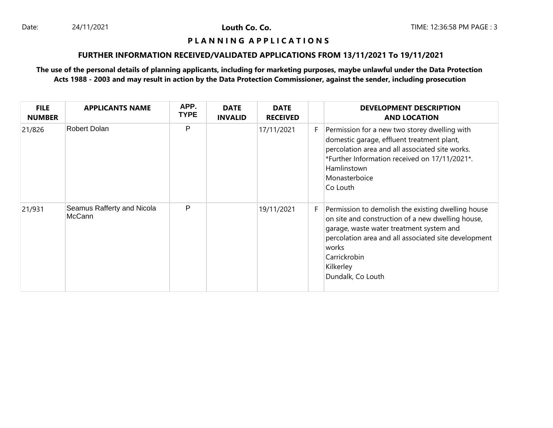#### **P L A N N I N G A P P L I C A T I O N S**

## **FURTHER INFORMATION RECEIVED/VALIDATED APPLICATIONS FROM 13/11/2021 To 19/11/2021**

| <b>FILE</b><br><b>NUMBER</b> | <b>APPLICANTS NAME</b>               | APP.<br><b>TYPE</b> | <b>DATE</b><br><b>INVALID</b> | <b>DATE</b><br><b>RECEIVED</b> |    | <b>DEVELOPMENT DESCRIPTION</b><br><b>AND LOCATION</b>                                                                                                                                                                                                                  |
|------------------------------|--------------------------------------|---------------------|-------------------------------|--------------------------------|----|------------------------------------------------------------------------------------------------------------------------------------------------------------------------------------------------------------------------------------------------------------------------|
| 21/826                       | Robert Dolan                         | P                   |                               | 17/11/2021                     | F. | Permission for a new two storey dwelling with<br>domestic garage, effluent treatment plant,<br>percolation area and all associated site works.<br>*Further Information received on 17/11/2021*.<br>Hamlinstown<br>Monasterboice<br>Co Louth                            |
| 21/931                       | Seamus Rafferty and Nicola<br>McCann | P                   |                               | 19/11/2021                     | F. | Permission to demolish the existing dwelling house<br>on site and construction of a new dwelling house,<br>garage, waste water treatment system and<br>percolation area and all associated site development<br>works<br>Carrickrobin<br>Kilkerley<br>Dundalk, Co Louth |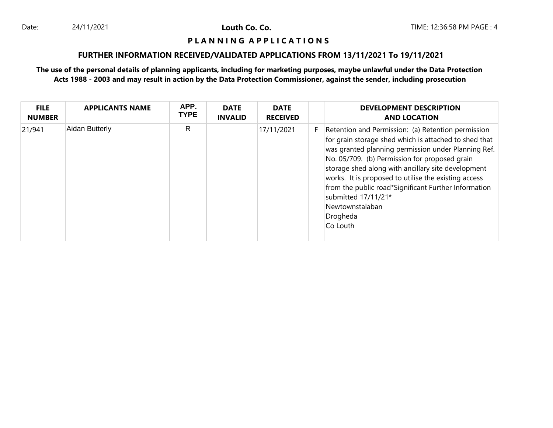#### **P L A N N I N G A P P L I C A T I O N S**

## **FURTHER INFORMATION RECEIVED/VALIDATED APPLICATIONS FROM 13/11/2021 To 19/11/2021**

| <b>FILE</b><br><b>NUMBER</b> | <b>APPLICANTS NAME</b> | APP.<br><b>TYPE</b> | <b>DATE</b><br><b>INVALID</b> | <b>DATE</b><br><b>RECEIVED</b> |    | <b>DEVELOPMENT DESCRIPTION</b><br><b>AND LOCATION</b>                                                                                                                                                                                                                                                                                                                                                                                                       |
|------------------------------|------------------------|---------------------|-------------------------------|--------------------------------|----|-------------------------------------------------------------------------------------------------------------------------------------------------------------------------------------------------------------------------------------------------------------------------------------------------------------------------------------------------------------------------------------------------------------------------------------------------------------|
| 21/941                       | Aidan Butterly         | R                   |                               | 17/11/2021                     | F. | Retention and Permission: (a) Retention permission<br>for grain storage shed which is attached to shed that<br>was granted planning permission under Planning Ref.<br>No. 05/709. (b) Permission for proposed grain<br>storage shed along with ancillary site development<br>works. It is proposed to utilise the existing access<br>from the public road*Significant Further Information<br>submitted 17/11/21*<br>Newtownstalaban<br>Drogheda<br>Co Louth |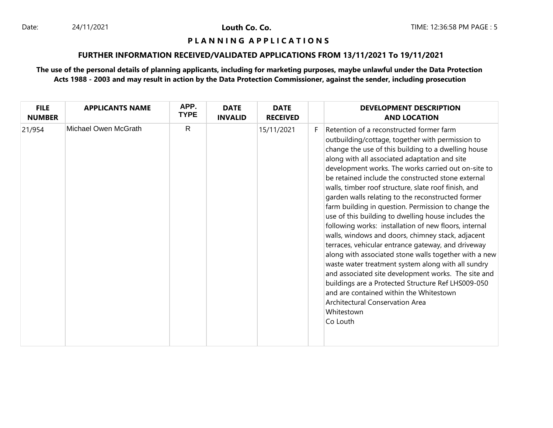## **P L A N N I N G A P P L I C A T I O N S**

## **FURTHER INFORMATION RECEIVED/VALIDATED APPLICATIONS FROM 13/11/2021 To 19/11/2021**

| <b>FILE</b><br><b>NUMBER</b> | <b>APPLICANTS NAME</b> | APP.<br><b>TYPE</b> | <b>DATE</b><br><b>INVALID</b> | <b>DATE</b><br><b>RECEIVED</b> |    | <b>DEVELOPMENT DESCRIPTION</b><br><b>AND LOCATION</b>                                                                                                                                                                                                                                                                                                                                                                                                                                                                                                                                                                                                                                                                                                                                                                                                                                                                                                                                                                                                |
|------------------------------|------------------------|---------------------|-------------------------------|--------------------------------|----|------------------------------------------------------------------------------------------------------------------------------------------------------------------------------------------------------------------------------------------------------------------------------------------------------------------------------------------------------------------------------------------------------------------------------------------------------------------------------------------------------------------------------------------------------------------------------------------------------------------------------------------------------------------------------------------------------------------------------------------------------------------------------------------------------------------------------------------------------------------------------------------------------------------------------------------------------------------------------------------------------------------------------------------------------|
| 21/954                       | Michael Owen McGrath   | R                   |                               | 15/11/2021                     | F. | Retention of a reconstructed former farm<br>outbuilding/cottage, together with permission to<br>change the use of this building to a dwelling house<br>along with all associated adaptation and site<br>development works. The works carried out on-site to<br>be retained include the constructed stone external<br>walls, timber roof structure, slate roof finish, and<br>garden walls relating to the reconstructed former<br>farm building in question. Permission to change the<br>use of this building to dwelling house includes the<br>following works: installation of new floors, internal<br>walls, windows and doors, chimney stack, adjacent<br>terraces, vehicular entrance gateway, and driveway<br>along with associated stone walls together with a new<br>waste water treatment system along with all sundry<br>and associated site development works. The site and<br>buildings are a Protected Structure Ref LHS009-050<br>and are contained within the Whitestown<br>Architectural Conservation Area<br>Whitestown<br>Co Louth |